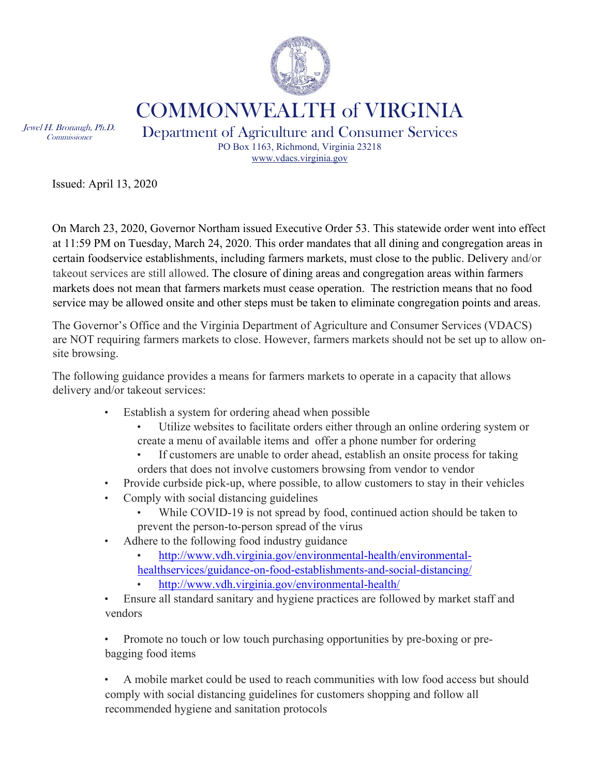

COMMONWEALTH of VIRGINIA

Jewel H. Bronaugh, Ph.D. Commissioner

Department of Agriculture and Consumer Services PO Box 1163, Richmond, Virginia 23218 www.vdacs.virginia.gov

Issued: April 13, 2020

On March 23, 2020, Governor Northam issued Executive Order 53. This statewide order went into effect at 11:59 PM on Tuesday, March 24, 2020. This order mandates that all dining and congregation areas in certain foodservice establishments, including farmers markets, must close to the public. Delivery and/or takeout services are still allowed. The closure of dining areas and congregation areas within farmers markets does not mean that farmers markets must cease operation. The restriction means that no food service may be allowed onsite and other steps must be taken to eliminate congregation points and areas.

The Governor's Office and the Virginia Department of Agriculture and Consumer Services (VDACS) are NOT requiring farmers markets to close. However, farmers markets should not be set up to allow onsite browsing.

The following guidance provides a means for farmers markets to operate in a capacity that allows delivery and/or takeout services:

- Establish a system for ordering ahead when possible
	- Utilize websites to facilitate orders either through an online ordering system or create a menu of available items and offer a phone number for ordering
	- If customers are unable to order ahead, establish an onsite process for taking orders that does not involve customers browsing from vendor to vendor
- Provide curbside pick-up, where possible, to allow customers to stay in their vehicles
- Comply with social distancing guidelines
	- While COVID-19 is not spread by food, continued action should be taken to prevent the person-to-person spread of the virus
- Adhere to the following food industry guidance
	- http://www.vdh.virginia.gov/environmental-health/environmentalhealthservices/guidance-on-food-establishments-and-social-distancing/
	- http://www.vdh.virginia.gov/environmental-health/
- Ensure all standard sanitary and hygiene practices are followed by market staff and vendors

• Promote no touch or low touch purchasing opportunities by pre-boxing or prebagging food items

• A mobile market could be used to reach communities with low food access but should comply with social distancing guidelines for customers shopping and follow all recommended hygiene and sanitation protocols